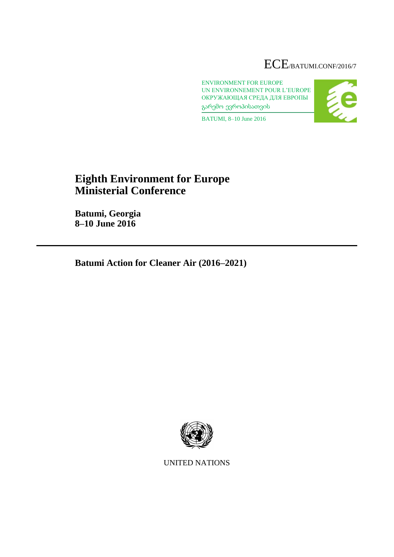# ECE/BATUMI.CONF/2016/7

ENVIRONMENT FOR EUROPE UN ENVIRONNEMENT POUR L'EUROPE ОКРУЖАЮЩАЯ СРЕДА ДЛЯ ЕВРОПЫ გარემო ევროპისათვის



BATUMI, 8–10 June 2016

# **Eighth Environment for Europe Ministerial Conference**

**Batumi, Georgia 8–10 June 2016**

**Batumi Action for Cleaner Air (2016–2021)**



UNITED NATIONS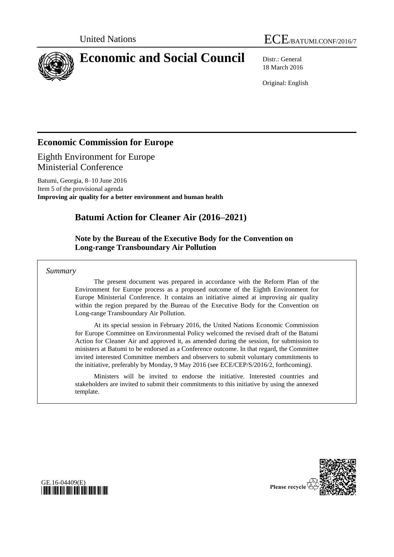



# **Economic and Social Council** Distr.: General

18 March 2016

Original: English

# **Economic Commission for Europe**

Eighth Environment for Europe Ministerial Conference

Batumi, Georgia, 8–10 June 2016 Item 5 of the provisional agenda **Improving air quality for a better environment and human health**

# **Batumi Action for Cleaner Air (2016–2021)**

### **Note by the Bureau of the Executive Body for the Convention on Long-range Transboundary Air Pollution**

*Summary*

The present document was prepared in accordance with the Reform Plan of the Environment for Europe process as a proposed outcome of the Eighth Environment for Europe Ministerial Conference. It contains an initiative aimed at improving air quality within the region prepared by the Bureau of the Executive Body for the Convention on Long-range Transboundary Air Pollution.

At its special session in February 2016, the United Nations Economic Commission for Europe Committee on Environmental Policy welcomed the revised draft of the Batumi Action for Cleaner Air and approved it, as amended during the session, for submission to ministers at Batumi to be endorsed as a Conference outcome. In that regard, the Committee invited interested Committee members and observers to submit voluntary commitments to the initiative, preferably by Monday, 9 May 2016 (see ECE/CEP/S/2016/2, forthcoming).

Ministers will be invited to endorse the initiative. Interested countries and stakeholders are invited to submit their commitments to this initiative by using the annexed template.



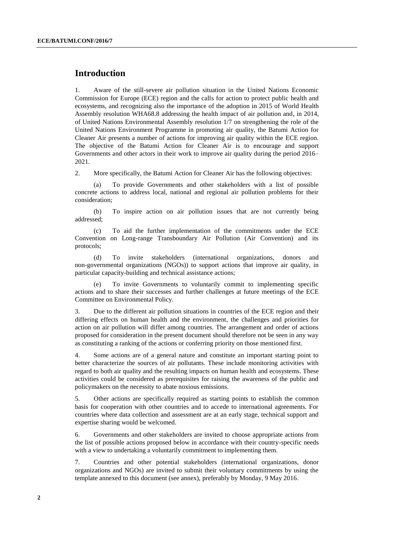#### **Introduction**

1. Aware of the still-severe air pollution situation in the United Nations Economic Commission for Europe (ECE) region and the calls for action to protect public health and ecosystems, and recognizing also the importance of the adoption in 2015 of World Health Assembly resolution WHA68.8 addressing the health impact of air pollution and, in 2014, of United Nations Environmental Assembly resolution 1/7 on strengthening the role of the United Nations Environment Programme in promoting air quality, the Batumi Action for Cleaner Air presents a number of actions for improving air quality within the ECE region. The objective of the Batumi Action for Cleaner Air is to encourage and support Governments and other actors in their work to improve air quality during the period 2016– 2021.

2. More specifically, the Batumi Action for Cleaner Air has the following objectives:

(a) To provide Governments and other stakeholders with a list of possible concrete actions to address local, national and regional air pollution problems for their consideration;

(b) To inspire action on air pollution issues that are not currently being addressed;

(c) To aid the further implementation of the commitments under the ECE Convention on Long-range Transboundary Air Pollution (Air Convention) and its protocols;

(d) To invite stakeholders (international organizations, donors and non-governmental organizations (NGOs)) to support actions that improve air quality, in particular capacity-building and technical assistance actions;

(e) To invite Governments to voluntarily commit to implementing specific actions and to share their successes and further challenges at future meetings of the ECE Committee on Environmental Policy.

3. Due to the different air pollution situations in countries of the ECE region and their differing effects on human health and the environment, the challenges and priorities for action on air pollution will differ among countries. The arrangement and order of actions proposed for consideration in the present document should therefore not be seen in any way as constituting a ranking of the actions or conferring priority on those mentioned first.

4. Some actions are of a general nature and constitute an important starting point to better characterize the sources of air pollutants. These include monitoring activities with regard to both air quality and the resulting impacts on human health and ecosystems. These activities could be considered as prerequisites for raising the awareness of the public and policymakers on the necessity to abate noxious emissions.

5. Other actions are specifically required as starting points to establish the common basis for cooperation with other countries and to accede to international agreements. For countries where data collection and assessment are at an early stage, technical support and expertise sharing would be welcomed.

6. Governments and other stakeholders are invited to choose appropriate actions from the list of possible actions proposed below in accordance with their country-specific needs with a view to undertaking a voluntarily commitment to implementing them.

7. Countries and other potential stakeholders (international organizations, donor organizations and NGOs) are invited to submit their voluntary commitments by using the template annexed to this document (see annex), preferably by Monday, 9 May 2016.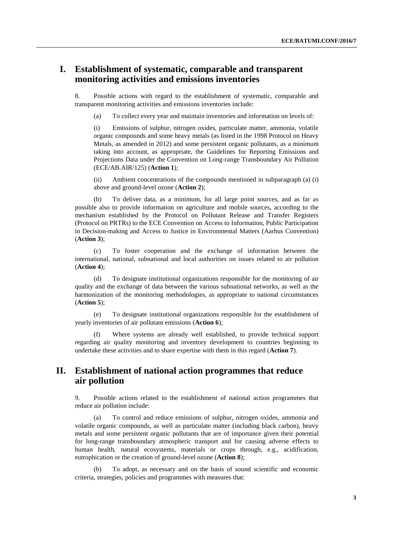### **I. Establishment of systematic, comparable and transparent monitoring activities and emissions inventories**

8. Possible actions with regard to the establishment of systematic, comparable and transparent monitoring activities and emissions inventories include:

(a) To collect every year and maintain inventories and information on levels of:

(i) Emissions of sulphur, nitrogen oxides, particulate matter, ammonia, volatile organic compounds and some heavy metals (as listed in the 1998 Protocol on Heavy Metals, as amended in 2012) and some persistent organic pollutants, as a minimum taking into account, as appropriate, the Guidelines for Reporting Emissions and Projections Data under the Convention on Long-range Transboundary Air Pollution (ECE/AB.AIR/125) (**Action 1**);

(ii) Ambient concentrations of the compounds mentioned in subparagraph (a) (i) above and ground-level ozone (**Action 2**);

(b) To deliver data, as a minimum, for all large point sources, and as far as possible also to provide information on agriculture and mobile sources, according to the mechanism established by the Protocol on Pollutant Release and Transfer Registers (Protocol on PRTRs) to the ECE Convention on Access to Information, Public Participation in Decision-making and Access to Justice in Environmental Matters (Aarhus Convention) (**Action 3**);

(c) To foster cooperation and the exchange of information between the international, national, subnational and local authorities on issues related to air pollution (**Action 4**);

(d) To designate institutional organizations responsible for the monitoring of air quality and the exchange of data between the various subnational networks, as well as the harmonization of the monitoring methodologies, as appropriate to national circumstances (**Action 5**);

(e) To designate institutional organizations responsible for the establishment of yearly inventories of air pollutant emissions (**Action 6**);

(f) Where systems are already well established, to provide technical support regarding air quality monitoring and inventory development to countries beginning to undertake these activities and to share expertise with them in this regard (**Action 7**).

### **II. Establishment of national action programmes that reduce air pollution**

9. Possible actions related to the establishment of national action programmes that reduce air pollution include:

(a) To control and reduce emissions of sulphur, nitrogen oxides, ammonia and volatile organic compounds, as well as particulate matter (including black carbon), heavy metals and some persistent organic pollutants that are of importance given their potential for long-range transboundary atmospheric transport and for causing adverse effects to human health, natural ecosystems, materials or crops through, e.g., acidification, eutrophication or the creation of ground-level ozone (**Action 8**);

(b) To adopt, as necessary and on the basis of sound scientific and economic criteria, strategies, policies and programmes with measures that: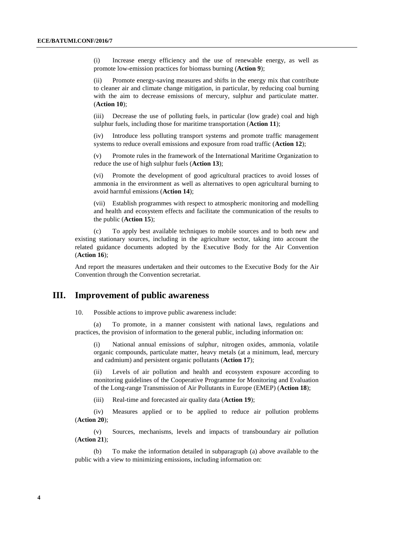(i) Increase energy efficiency and the use of renewable energy, as well as promote low-emission practices for biomass burning (**Action 9**);

(ii) Promote energy-saving measures and shifts in the energy mix that contribute to cleaner air and climate change mitigation, in particular, by reducing coal burning with the aim to decrease emissions of mercury, sulphur and particulate matter. (**Action 10**);

(iii) Decrease the use of polluting fuels, in particular (low grade) coal and high sulphur fuels, including those for maritime transportation (**Action 11**);

(iv) Introduce less polluting transport systems and promote traffic management systems to reduce overall emissions and exposure from road traffic (**Action 12**);

(v) Promote rules in the framework of the International Maritime Organization to reduce the use of high sulphur fuels (**Action 13**);

(vi) Promote the development of good agricultural practices to avoid losses of ammonia in the environment as well as alternatives to open agricultural burning to avoid harmful emissions (**Action 14**);

(vii) Establish programmes with respect to atmospheric monitoring and modelling and health and ecosystem effects and facilitate the communication of the results to the public (**Action 15**);

(c) To apply best available techniques to mobile sources and to both new and existing stationary sources, including in the agriculture sector, taking into account the related guidance documents adopted by the Executive Body for the Air Convention (**Action 16**);

And report the measures undertaken and their outcomes to the Executive Body for the Air Convention through the Convention secretariat.

#### **III. Improvement of public awareness**

10. Possible actions to improve public awareness include:

(a) To promote, in a manner consistent with national laws, regulations and practices, the provision of information to the general public, including information on:

(i) National annual emissions of sulphur, nitrogen oxides, ammonia, volatile organic compounds, particulate matter, heavy metals (at a minimum, lead, mercury and cadmium) and persistent organic pollutants (**Action 17**);

(ii) Levels of air pollution and health and ecosystem exposure according to monitoring guidelines of the Cooperative Programme for Monitoring and Evaluation of the Long-range Transmission of Air Pollutants in Europe (EMEP) (**Action 18**);

(iii) Real-time and forecasted air quality data (**Action 19**);

(iv) Measures applied or to be applied to reduce air pollution problems (**Action 20**);

(v) Sources, mechanisms, levels and impacts of transboundary air pollution (**Action 21**);

(b) To make the information detailed in subparagraph (a) above available to the public with a view to minimizing emissions, including information on: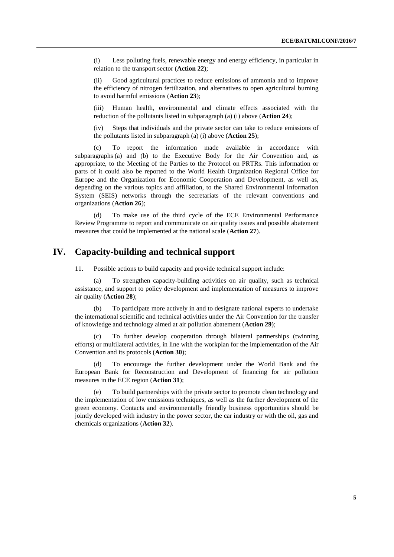(i) Less polluting fuels, renewable energy and energy efficiency, in particular in relation to the transport sector (**Action 22**);

(ii) Good agricultural practices to reduce emissions of ammonia and to improve the efficiency of nitrogen fertilization, and alternatives to open agricultural burning to avoid harmful emissions (**Action 23**);

(iii) Human health, environmental and climate effects associated with the reduction of the pollutants listed in subparagraph (a) (i) above (**Action 24**);

Steps that individuals and the private sector can take to reduce emissions of the pollutants listed in subparagraph (a) (i) above (**Action 25**);

(c) To report the information made available in accordance with subparagraphs (a) and (b) to the Executive Body for the Air Convention and, as appropriate, to the Meeting of the Parties to the Protocol on PRTRs. This information or parts of it could also be reported to the World Health Organization Regional Office for Europe and the Organization for Economic Cooperation and Development, as well as, depending on the various topics and affiliation, to the Shared Environmental Information System (SEIS) networks through the secretariats of the relevant conventions and organizations (**Action 26**);

(d) To make use of the third cycle of the ECE Environmental Performance Review Programme to report and communicate on air quality issues and possible abatement measures that could be implemented at the national scale (**Action 27**).

## **IV. Capacity-building and technical support**

11. Possible actions to build capacity and provide technical support include:

(a) To strengthen capacity-building activities on air quality, such as technical assistance, and support to policy development and implementation of measures to improve air quality (**Action 28**);

(b) To participate more actively in and to designate national experts to undertake the international scientific and technical activities under the Air Convention for the transfer of knowledge and technology aimed at air pollution abatement (**Action 29**);

To further develop cooperation through bilateral partnerships (twinning efforts) or multilateral activities, in line with the workplan for the implementation of the Air Convention and its protocols (**Action 30**);

(d) To encourage the further development under the World Bank and the European Bank for Reconstruction and Development of financing for air pollution measures in the ECE region (**Action 31**);

(e) To build partnerships with the private sector to promote clean technology and the implementation of low emissions techniques, as well as the further development of the green economy. Contacts and environmentally friendly business opportunities should be jointly developed with industry in the power sector, the car industry or with the oil, gas and chemicals organizations (**Action 32**).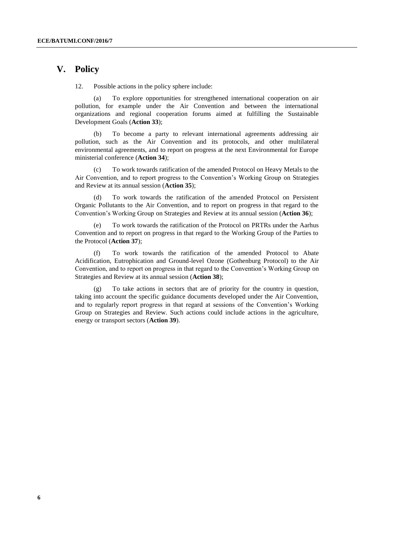#### **V. Policy**

12. Possible actions in the policy sphere include:

(a) To explore opportunities for strengthened international cooperation on air pollution, for example under the Air Convention and between the international organizations and regional cooperation forums aimed at fulfilling the Sustainable Development Goals (**Action 33**);

(b) To become a party to relevant international agreements addressing air pollution, such as the Air Convention and its protocols, and other multilateral environmental agreements, and to report on progress at the next Environmental for Europe ministerial conference (**Action 34**);

(c) To work towards ratification of the amended Protocol on Heavy Metals to the Air Convention, and to report progress to the Convention's Working Group on Strategies and Review at its annual session (**Action 35**);

(d) To work towards the ratification of the amended Protocol on Persistent Organic Pollutants to the Air Convention, and to report on progress in that regard to the Convention's Working Group on Strategies and Review at its annual session (**Action 36**);

(e) To work towards the ratification of the Protocol on PRTRs under the Aarhus Convention and to report on progress in that regard to the Working Group of the Parties to the Protocol (**Action 37**);

(f) To work towards the ratification of the amended Protocol to Abate Acidification, Eutrophication and Ground-level Ozone (Gothenburg Protocol) to the Air Convention, and to report on progress in that regard to the Convention's Working Group on Strategies and Review at its annual session (**Action 38**);

(g) To take actions in sectors that are of priority for the country in question, taking into account the specific guidance documents developed under the Air Convention, and to regularly report progress in that regard at sessions of the Convention's Working Group on Strategies and Review. Such actions could include actions in the agriculture, energy or transport sectors (**Action 39**).